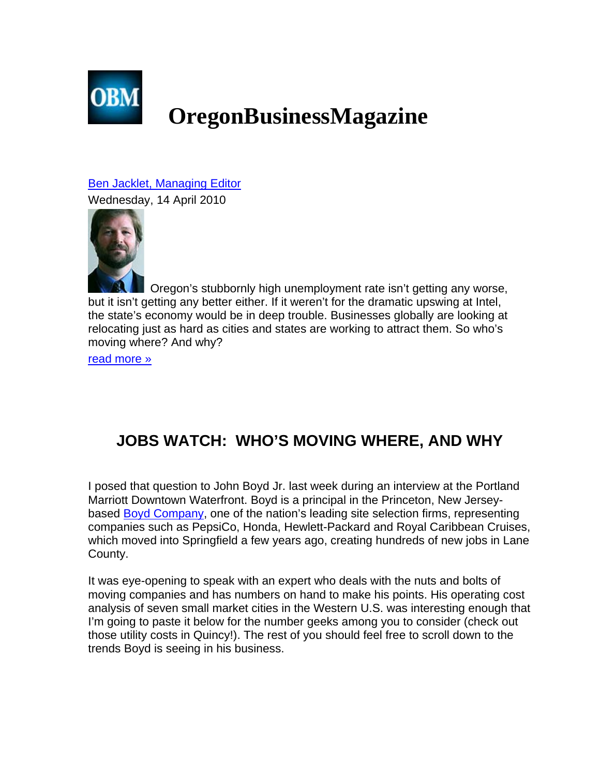

## **OregonBusinessMagazine**

Ben Jacklet, Managing Editor

Wednesday, 14 April 2010



Oregon's stubbornly high unemployment rate isn't getting any worse, but it isn't getting any better either. If it weren't for the dramatic upswing at Intel, the state's economy would be in deep trouble. Businesses globally are looking at relocating just as hard as cities and states are working to attract them. So who's moving where? And why?

read more »

## **JOBS WATCH: WHO'S MOVING WHERE, AND WHY**

I posed that question to John Boyd Jr. last week during an interview at the Portland Marriott Downtown Waterfront. Boyd is a principal in the Princeton, New Jerseybased Boyd Company, one of the nation's leading site selection firms, representing companies such as PepsiCo, Honda, Hewlett-Packard and Royal Caribbean Cruises, which moved into Springfield a few years ago, creating hundreds of new jobs in Lane County.

It was eye-opening to speak with an expert who deals with the nuts and bolts of moving companies and has numbers on hand to make his points. His operating cost analysis of seven small market cities in the Western U.S. was interesting enough that I'm going to paste it below for the number geeks among you to consider (check out those utility costs in Quincy!). The rest of you should feel free to scroll down to the trends Boyd is seeing in his business.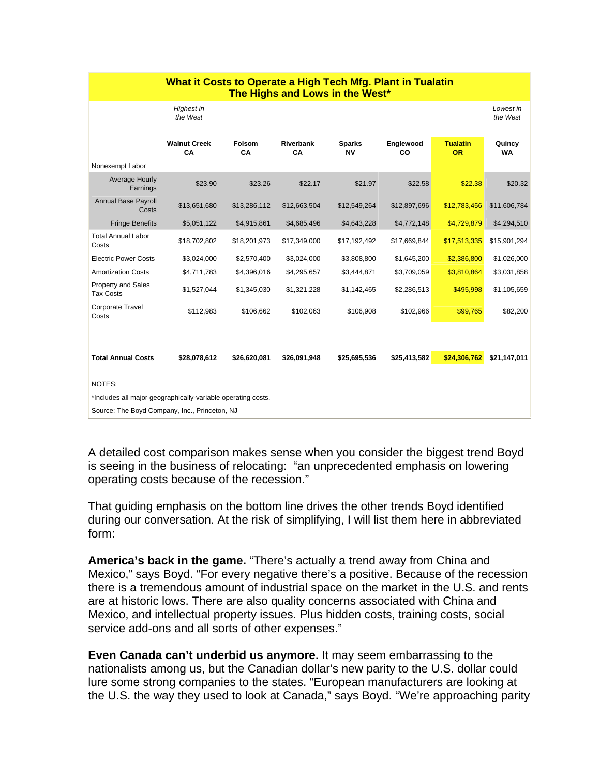| What it Costs to Operate a High Tech Mfg. Plant in Tualatin<br>The Highs and Lows in the West* |                           |              |                        |                     |                 |                              |                       |
|------------------------------------------------------------------------------------------------|---------------------------|--------------|------------------------|---------------------|-----------------|------------------------------|-----------------------|
|                                                                                                | Highest in<br>the West    |              |                        |                     |                 |                              | Lowest in<br>the West |
|                                                                                                | <b>Walnut Creek</b><br>CA | Folsom<br>CA | <b>Riverbank</b><br>CA | <b>Sparks</b><br>NV | Englewood<br>CO | <b>Tualatin</b><br><b>OR</b> | Quincy<br><b>WA</b>   |
| Nonexempt Labor                                                                                |                           |              |                        |                     |                 |                              |                       |
| Average Hourly<br>Earnings                                                                     | \$23.90                   | \$23.26      | \$22.17                | \$21.97             | \$22.58         | \$22.38                      | \$20.32               |
| <b>Annual Base Payroll</b><br>Costs                                                            | \$13,651,680              | \$13,286,112 | \$12,663,504           | \$12,549,264        | \$12,897,696    | \$12,783,456                 | \$11,606,784          |
| <b>Fringe Benefits</b>                                                                         | \$5,051,122               | \$4,915,861  | \$4,685,496            | \$4,643,228         | \$4,772,148     | \$4,729,879                  | \$4,294,510           |
| <b>Total Annual Labor</b><br>Costs                                                             | \$18,702,802              | \$18,201,973 | \$17,349,000           | \$17,192,492        | \$17,669,844    | \$17,513,335                 | \$15,901,294          |
| <b>Electric Power Costs</b>                                                                    | \$3,024,000               | \$2,570,400  | \$3,024,000            | \$3,808,800         | \$1,645,200     | \$2,386,800                  | \$1,026,000           |
| <b>Amortization Costs</b>                                                                      | \$4,711,783               | \$4,396,016  | \$4,295,657            | \$3,444,871         | \$3,709,059     | \$3,810,864                  | \$3,031,858           |
| Property and Sales<br><b>Tax Costs</b>                                                         | \$1,527,044               | \$1,345,030  | \$1,321,228            | \$1,142,465         | \$2,286,513     | \$495,998                    | \$1,105,659           |
| Corporate Travel<br>Costs                                                                      | \$112,983                 | \$106,662    | \$102,063              | \$106,908           | \$102,966       | \$99,765                     | \$82,200              |
|                                                                                                |                           |              |                        |                     |                 |                              |                       |
| <b>Total Annual Costs</b>                                                                      | \$28,078,612              | \$26,620,081 | \$26,091,948           | \$25,695,536        | \$25,413,582    | \$24,306,762                 | \$21,147,011          |
| NOTES:                                                                                         |                           |              |                        |                     |                 |                              |                       |
| *Includes all major geographically-variable operating costs.                                   |                           |              |                        |                     |                 |                              |                       |
| Source: The Boyd Company, Inc., Princeton, NJ                                                  |                           |              |                        |                     |                 |                              |                       |

A detailed cost comparison makes sense when you consider the biggest trend Boyd is seeing in the business of relocating: "an unprecedented emphasis on lowering operating costs because of the recession."

That guiding emphasis on the bottom line drives the other trends Boyd identified during our conversation. At the risk of simplifying, I will list them here in abbreviated form:

**America's back in the game.** "There's actually a trend away from China and Mexico," says Boyd. "For every negative there's a positive. Because of the recession there is a tremendous amount of industrial space on the market in the U.S. and rents are at historic lows. There are also quality concerns associated with China and Mexico, and intellectual property issues. Plus hidden costs, training costs, social service add-ons and all sorts of other expenses."

**Even Canada can't underbid us anymore.** It may seem embarrassing to the nationalists among us, but the Canadian dollar's new parity to the U.S. dollar could lure some strong companies to the states. "European manufacturers are looking at the U.S. the way they used to look at Canada," says Boyd. "We're approaching parity